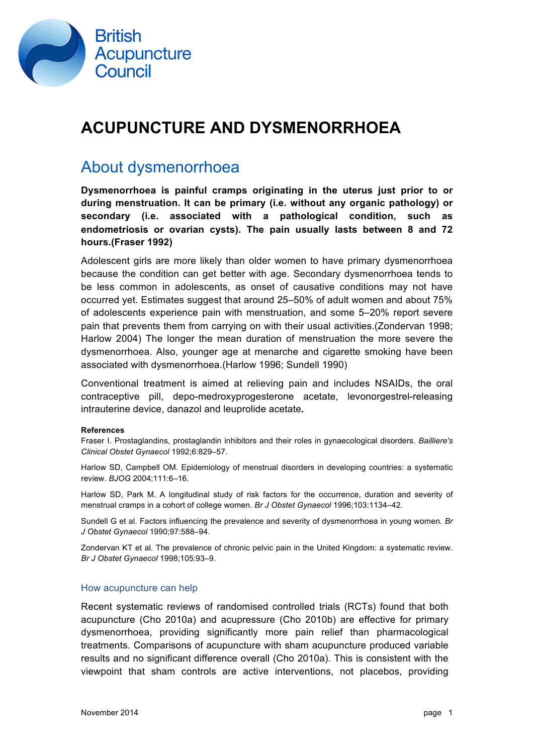

# **ACUPUNCTURE AND DYSMENORRHOEA**

# About dysmenorrhoea

**Dysmenorrhoea is painful cramps originating in the uterus just prior to or during menstruation. It can be primary (i.e. without any organic pathology) or secondary (i.e. associated with a pathological condition, such as endometriosis or ovarian cysts). The pain usually lasts between 8 and 72 hours.(Fraser 1992)** 

Adolescent girls are more likely than older women to have primary dysmenorrhoea because the condition can get better with age. Secondary dysmenorrhoea tends to be less common in adolescents, as onset of causative conditions may not have occurred yet. Estimates suggest that around 25–50% of adult women and about 75% of adolescents experience pain with menstruation, and some 5–20% report severe pain that prevents them from carrying on with their usual activities.(Zondervan 1998; Harlow 2004) The longer the mean duration of menstruation the more severe the dysmenorrhoea. Also, younger age at menarche and cigarette smoking have been associated with dysmenorrhoea.(Harlow 1996; Sundell 1990)

Conventional treatment is aimed at relieving pain and includes NSAIDs, the oral contraceptive pill, depo-medroxyprogesterone acetate, levonorgestrel-releasing intrauterine device, danazol and leuprolide acetate**.**

#### **References**

Fraser I. Prostaglandins, prostaglandin inhibitors and their roles in gynaecological disorders. *Bailliere's Clinical Obstet Gynaecol* 1992;6:829–57.

Harlow SD, Campbell OM. Epidemiology of menstrual disorders in developing countries: a systematic review. *BJOG* 2004;111:6–16.

Harlow SD, Park M. A longitudinal study of risk factors for the occurrence, duration and severity of menstrual cramps in a cohort of college women. *Br J Obstet Gynaecol* 1996;103:1134–42.

Sundell G et al. Factors influencing the prevalence and severity of dysmenorrhoea in young women. *Br J Obstet Gynaecol* 1990;97:588–94.

Zondervan KT et al. The prevalence of chronic pelvic pain in the United Kingdom: a systematic review. *Br J Obstet Gynaecol* 1998;105:93–9.

#### How acupuncture can help

Recent systematic reviews of randomised controlled trials (RCTs) found that both acupuncture (Cho 2010a) and acupressure (Cho 2010b) are effective for primary dysmenorrhoea, providing significantly more pain relief than pharmacological treatments. Comparisons of acupuncture with sham acupuncture produced variable results and no significant difference overall (Cho 2010a). This is consistent with the viewpoint that sham controls are active interventions, not placebos, providing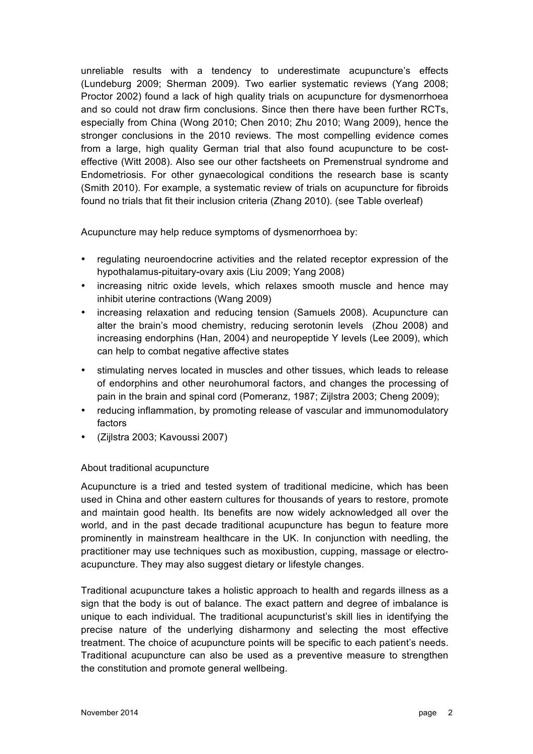unreliable results with a tendency to underestimate acupuncture's effects (Lundeburg 2009; Sherman 2009). Two earlier systematic reviews (Yang 2008; Proctor 2002) found a lack of high quality trials on acupuncture for dysmenorrhoea and so could not draw firm conclusions. Since then there have been further RCTs, especially from China (Wong 2010; Chen 2010; Zhu 2010; Wang 2009), hence the stronger conclusions in the 2010 reviews. The most compelling evidence comes from a large, high quality German trial that also found acupuncture to be costeffective (Witt 2008). Also see our other factsheets on Premenstrual syndrome and Endometriosis. For other gynaecological conditions the research base is scanty (Smith 2010). For example, a systematic review of trials on acupuncture for fibroids found no trials that fit their inclusion criteria (Zhang 2010). (see Table overleaf)

Acupuncture may help reduce symptoms of dysmenorrhoea by:

- regulating neuroendocrine activities and the related receptor expression of the hypothalamus-pituitary-ovary axis (Liu 2009; Yang 2008)
- increasing nitric oxide levels, which relaxes smooth muscle and hence may inhibit uterine contractions (Wang 2009)
- increasing relaxation and reducing tension (Samuels 2008). Acupuncture can alter the brain's mood chemistry, reducing serotonin levels (Zhou 2008) and increasing endorphins (Han, 2004) and neuropeptide Y levels (Lee 2009), which can help to combat negative affective states
- stimulating nerves located in muscles and other tissues, which leads to release of endorphins and other neurohumoral factors, and changes the processing of pain in the brain and spinal cord (Pomeranz, 1987; Zijlstra 2003; Cheng 2009);
- reducing inflammation, by promoting release of vascular and immunomodulatory factors
- (Zijlstra 2003; Kavoussi 2007)

## About traditional acupuncture

Acupuncture is a tried and tested system of traditional medicine, which has been used in China and other eastern cultures for thousands of years to restore, promote and maintain good health. Its benefits are now widely acknowledged all over the world, and in the past decade traditional acupuncture has begun to feature more prominently in mainstream healthcare in the UK. In conjunction with needling, the practitioner may use techniques such as moxibustion, cupping, massage or electroacupuncture. They may also suggest dietary or lifestyle changes.

Traditional acupuncture takes a holistic approach to health and regards illness as a sign that the body is out of balance. The exact pattern and degree of imbalance is unique to each individual. The traditional acupuncturist's skill lies in identifying the precise nature of the underlying disharmony and selecting the most effective treatment. The choice of acupuncture points will be specific to each patient's needs. Traditional acupuncture can also be used as a preventive measure to strengthen the constitution and promote general wellbeing.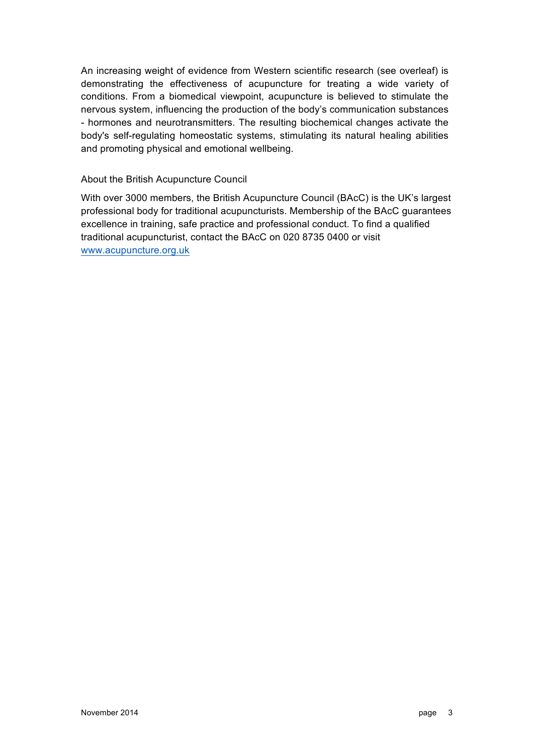An increasing weight of evidence from Western scientific research (see overleaf) is demonstrating the effectiveness of acupuncture for treating a wide variety of conditions. From a biomedical viewpoint, acupuncture is believed to stimulate the nervous system, influencing the production of the body's communication substances - hormones and neurotransmitters. The resulting biochemical changes activate the body's self-regulating homeostatic systems, stimulating its natural healing abilities and promoting physical and emotional wellbeing.

### About the British Acupuncture Council

With over 3000 members, the British Acupuncture Council (BAcC) is the UK's largest professional body for traditional acupuncturists. Membership of the BAcC guarantees excellence in training, safe practice and professional conduct. To find a qualified traditional acupuncturist, contact the BAcC on 020 8735 0400 or visit www.acupuncture.org.uk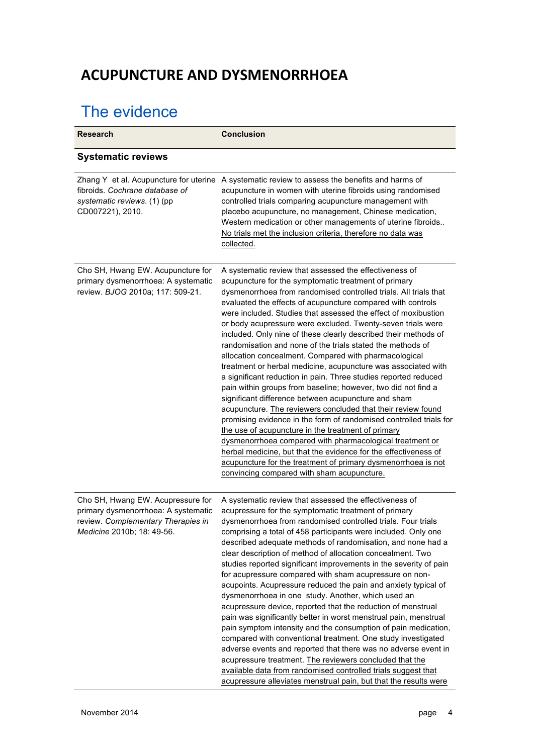# **ACUPUNCTURE AND DYSMENORRHOEA**

# The evidence

| <b>Research</b>                                                                                                                              | <b>Conclusion</b>                                                                                                                                                                                                                                                                                                                                                                                                                                                                                                                                                                                                                                                                                                                                                                                                                                                                                                                                                                                                                                                                                                                                                                                                                                                                  |
|----------------------------------------------------------------------------------------------------------------------------------------------|------------------------------------------------------------------------------------------------------------------------------------------------------------------------------------------------------------------------------------------------------------------------------------------------------------------------------------------------------------------------------------------------------------------------------------------------------------------------------------------------------------------------------------------------------------------------------------------------------------------------------------------------------------------------------------------------------------------------------------------------------------------------------------------------------------------------------------------------------------------------------------------------------------------------------------------------------------------------------------------------------------------------------------------------------------------------------------------------------------------------------------------------------------------------------------------------------------------------------------------------------------------------------------|
| <b>Systematic reviews</b>                                                                                                                    |                                                                                                                                                                                                                                                                                                                                                                                                                                                                                                                                                                                                                                                                                                                                                                                                                                                                                                                                                                                                                                                                                                                                                                                                                                                                                    |
| fibroids. Cochrane database of<br>systematic reviews. (1) (pp<br>CD007221), 2010.                                                            | Zhang Y et al. Acupuncture for uterine A systematic review to assess the benefits and harms of<br>acupuncture in women with uterine fibroids using randomised<br>controlled trials comparing acupuncture management with<br>placebo acupuncture, no management, Chinese medication,<br>Western medication or other managements of uterine fibroids<br>No trials met the inclusion criteria, therefore no data was<br>collected.                                                                                                                                                                                                                                                                                                                                                                                                                                                                                                                                                                                                                                                                                                                                                                                                                                                    |
| Cho SH, Hwang EW. Acupuncture for<br>primary dysmenorrhoea: A systematic<br>review. BJOG 2010a; 117: 509-21.                                 | A systematic review that assessed the effectiveness of<br>acupuncture for the symptomatic treatment of primary<br>dysmenorrhoea from randomised controlled trials. All trials that<br>evaluated the effects of acupuncture compared with controls<br>were included. Studies that assessed the effect of moxibustion<br>or body acupressure were excluded. Twenty-seven trials were<br>included. Only nine of these clearly described their methods of<br>randomisation and none of the trials stated the methods of<br>allocation concealment. Compared with pharmacological<br>treatment or herbal medicine, acupuncture was associated with<br>a significant reduction in pain. Three studies reported reduced<br>pain within groups from baseline; however, two did not find a<br>significant difference between acupuncture and sham<br>acupuncture. The reviewers concluded that their review found<br>promising evidence in the form of randomised controlled trials for<br>the use of acupuncture in the treatment of primary<br>dysmenorrhoea compared with pharmacological treatment or<br>herbal medicine, but that the evidence for the effectiveness of<br>acupuncture for the treatment of primary dysmenorrhoea is not<br>convincing compared with sham acupuncture. |
| Cho SH, Hwang EW. Acupressure for<br>primary dysmenorrhoea: A systematic<br>review. Complementary Therapies in<br>Medicine 2010b; 18: 49-56. | A systematic review that assessed the effectiveness of<br>acupressure for the symptomatic treatment of primary<br>dysmenorrhoea from randomised controlled trials. Four trials<br>comprising a total of 458 participants were included. Only one<br>described adequate methods of randomisation, and none had a<br>clear description of method of allocation concealment. Two<br>studies reported significant improvements in the severity of pain<br>for acupressure compared with sham acupressure on non-<br>acupoints. Acupressure reduced the pain and anxiety typical of<br>dysmenorrhoea in one study. Another, which used an<br>acupressure device, reported that the reduction of menstrual<br>pain was significantly better in worst menstrual pain, menstrual<br>pain symptom intensity and the consumption of pain medication,<br>compared with conventional treatment. One study investigated<br>adverse events and reported that there was no adverse event in<br>acupressure treatment. The reviewers concluded that the<br>available data from randomised controlled trials suggest that<br>acupressure alleviates menstrual pain, but that the results were                                                                                                       |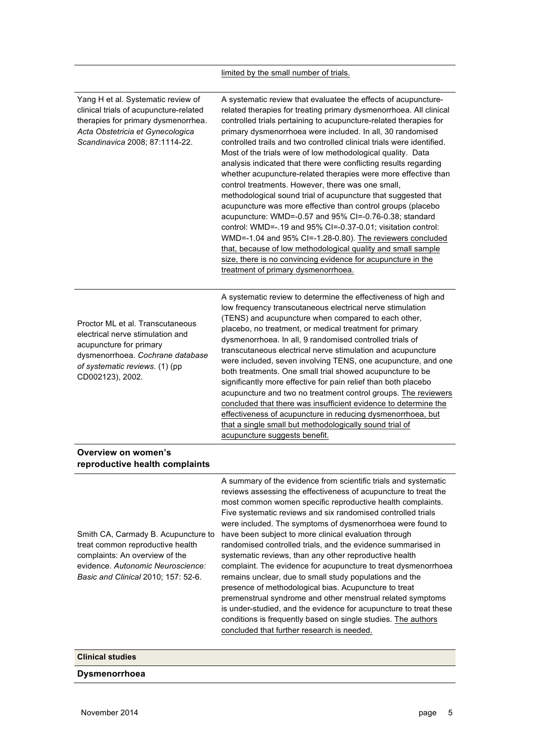## limited by the small number of trials.

| Yang H et al. Systematic review of<br>clinical trials of acupuncture-related<br>therapies for primary dysmenorrhea.<br>Acta Obstetricia et Gynecologica<br>Scandinavica 2008; 87:1114-22. | A systematic review that evaluatee the effects of acupuncture-<br>related therapies for treating primary dysmenorrhoea. All clinical<br>controlled trials pertaining to acupuncture-related therapies for<br>primary dysmenorrhoea were included. In all, 30 randomised<br>controlled trails and two controlled clinical trials were identified.<br>Most of the trials were of low methodological quality. Data<br>analysis indicated that there were conflicting results regarding<br>whether acupuncture-related therapies were more effective than<br>control treatments. However, there was one small,<br>methodological sound trial of acupuncture that suggested that<br>acupuncture was more effective than control groups (placebo<br>acupuncture: WMD=-0.57 and 95% CI=-0.76-0.38; standard<br>control: WMD=-.19 and 95% CI=-0.37-0.01; visitation control:<br>WMD=-1.04 and 95% CI=-1.28-0.80). The reviewers concluded<br>that, because of low methodological quality and small sample<br>size, there is no convincing evidence for acupuncture in the<br>treatment of primary dysmenorrhoea. |
|-------------------------------------------------------------------------------------------------------------------------------------------------------------------------------------------|----------------------------------------------------------------------------------------------------------------------------------------------------------------------------------------------------------------------------------------------------------------------------------------------------------------------------------------------------------------------------------------------------------------------------------------------------------------------------------------------------------------------------------------------------------------------------------------------------------------------------------------------------------------------------------------------------------------------------------------------------------------------------------------------------------------------------------------------------------------------------------------------------------------------------------------------------------------------------------------------------------------------------------------------------------------------------------------------------------|
| Proctor ML et al. Transcutaneous<br>electrical nerve stimulation and<br>acupuncture for primary<br>dysmenorrhoea. Cochrane database<br>of systematic reviews. (1) (pp<br>CD002123), 2002. | A systematic review to determine the effectiveness of high and<br>low frequency transcutaneous electrical nerve stimulation<br>(TENS) and acupuncture when compared to each other,<br>placebo, no treatment, or medical treatment for primary<br>dysmenorrhoea. In all, 9 randomised controlled trials of<br>transcutaneous electrical nerve stimulation and acupuncture<br>were included, seven involving TENS, one acupuncture, and one<br>both treatments. One small trial showed acupuncture to be<br>significantly more effective for pain relief than both placebo<br>acupuncture and two no treatment control groups. The reviewers<br>concluded that there was insufficient evidence to determine the<br>effectiveness of acupuncture in reducing dysmenorrhoea, but<br>that a single small but methodologically sound trial of<br>acupuncture suggests benefit.                                                                                                                                                                                                                                 |
| Overview on women's<br>reproductive health complaints                                                                                                                                     |                                                                                                                                                                                                                                                                                                                                                                                                                                                                                                                                                                                                                                                                                                                                                                                                                                                                                                                                                                                                                                                                                                          |
| Smith CA, Carmady B. Acupuncture to<br>treat common reproductive health<br>complaints: An overview of the<br>evidence. Autonomic Neuroscience:<br>Basic and Clinical 2010; 157: 52-6.     | A summary of the evidence from scientific trials and systematic<br>reviews assessing the effectiveness of acupuncture to treat the<br>most common women specific reproductive health complaints.<br>Five systematic reviews and six randomised controlled trials<br>were included. The symptoms of dysmenorrhoea were found to<br>have been subject to more clinical evaluation through<br>randomised controlled trials, and the evidence summarised in<br>systematic reviews, than any other reproductive health<br>complaint. The evidence for acupuncture to treat dysmenorrhoea<br>remains unclear, due to small study populations and the<br>presence of methodological bias. Acupuncture to treat<br>premenstrual syndrome and other menstrual related symptoms<br>is under-studied, and the evidence for acupuncture to treat these<br>conditions is frequently based on single studies. The authors                                                                                                                                                                                              |

concluded that further research is needed.

**Clinical studies**

### **Dysmenorrhoea**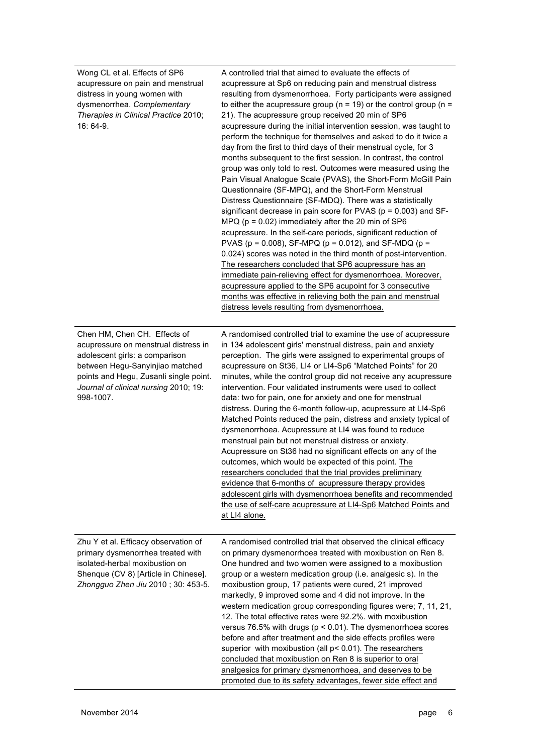| Wong CL et al. Effects of SP6<br>acupressure on pain and menstrual<br>distress in young women with<br>dysmenorrhea. Complementary<br>Therapies in Clinical Practice 2010;<br>16: 64-9.                                                    | A controlled trial that aimed to evaluate the effects of<br>acupressure at Sp6 on reducing pain and menstrual distress<br>resulting from dysmenorrhoea. Forty participants were assigned<br>to either the acupressure group ( $n = 19$ ) or the control group ( $n =$<br>21). The acupressure group received 20 min of SP6<br>acupressure during the initial intervention session, was taught to<br>perform the technique for themselves and asked to do it twice a<br>day from the first to third days of their menstrual cycle, for 3<br>months subsequent to the first session. In contrast, the control<br>group was only told to rest. Outcomes were measured using the<br>Pain Visual Analogue Scale (PVAS), the Short-Form McGill Pain<br>Questionnaire (SF-MPQ), and the Short-Form Menstrual<br>Distress Questionnaire (SF-MDQ). There was a statistically<br>significant decrease in pain score for PVAS ( $p = 0.003$ ) and SF-<br>MPQ ( $p = 0.02$ ) immediately after the 20 min of SP6<br>acupressure. In the self-care periods, significant reduction of<br>PVAS ( $p = 0.008$ ), SF-MPQ ( $p = 0.012$ ), and SF-MDQ ( $p =$<br>0.024) scores was noted in the third month of post-intervention.<br>The researchers concluded that SP6 acupressure has an<br>immediate pain-relieving effect for dysmenorrhoea. Moreover,<br>acupressure applied to the SP6 acupoint for 3 consecutive<br>months was effective in relieving both the pain and menstrual<br>distress levels resulting from dysmenorrhoea. |
|-------------------------------------------------------------------------------------------------------------------------------------------------------------------------------------------------------------------------------------------|-------------------------------------------------------------------------------------------------------------------------------------------------------------------------------------------------------------------------------------------------------------------------------------------------------------------------------------------------------------------------------------------------------------------------------------------------------------------------------------------------------------------------------------------------------------------------------------------------------------------------------------------------------------------------------------------------------------------------------------------------------------------------------------------------------------------------------------------------------------------------------------------------------------------------------------------------------------------------------------------------------------------------------------------------------------------------------------------------------------------------------------------------------------------------------------------------------------------------------------------------------------------------------------------------------------------------------------------------------------------------------------------------------------------------------------------------------------------------------------------------------------------------|
| Chen HM, Chen CH. Effects of<br>acupressure on menstrual distress in<br>adolescent girls: a comparison<br>between Hegu-Sanyinjiao matched<br>points and Hegu, Zusanli single point.<br>Journal of clinical nursing 2010; 19:<br>998-1007. | A randomised controlled trial to examine the use of acupressure<br>in 134 adolescent girls' menstrual distress, pain and anxiety<br>perception. The girls were assigned to experimental groups of<br>acupressure on St36, LI4 or LI4-Sp6 "Matched Points" for 20<br>minutes, while the control group did not receive any acupressure<br>intervention. Four validated instruments were used to collect<br>data: two for pain, one for anxiety and one for menstrual<br>distress. During the 6-month follow-up, acupressure at LI4-Sp6<br>Matched Points reduced the pain, distress and anxiety typical of<br>dysmenorrhoea. Acupressure at LI4 was found to reduce<br>menstrual pain but not menstrual distress or anxiety.<br>Acupressure on St36 had no significant effects on any of the<br>outcomes, which would be expected of this point. The<br>researchers concluded that the trial provides preliminary<br>evidence that 6-months of acupressure therapy provides<br>adolescent girls with dysmenorrhoea benefits and recommended<br>the use of self-care acupressure at LI4-Sp6 Matched Points and<br>at LI4 alone.                                                                                                                                                                                                                                                                                                                                                                                            |
| Zhu Y et al. Efficacy observation of<br>primary dysmenorrhea treated with<br>isolated-herbal moxibustion on<br>Shenque (CV 8) [Article in Chinese].<br>Zhongguo Zhen Jiu 2010; 30: 453-5.                                                 | A randomised controlled trial that observed the clinical efficacy<br>on primary dysmenorrhoea treated with moxibustion on Ren 8.<br>One hundred and two women were assigned to a moxibustion<br>group or a western medication group (i.e. analgesic s). In the<br>moxibustion group, 17 patients were cured, 21 improved<br>markedly, 9 improved some and 4 did not improve. In the<br>western medication group corresponding figures were; 7, 11, 21,<br>12. The total effective rates were 92.2%. with moxibustion<br>versus 76.5% with drugs ( $p < 0.01$ ). The dysmenorrhoea scores<br>before and after treatment and the side effects profiles were<br>superior with moxibustion (all p< 0.01). The researchers<br>concluded that moxibustion on Ren 8 is superior to oral<br>analgesics for primary dysmenorrhoea, and deserves to be<br>promoted due to its safety advantages, fewer side effect and                                                                                                                                                                                                                                                                                                                                                                                                                                                                                                                                                                                                            |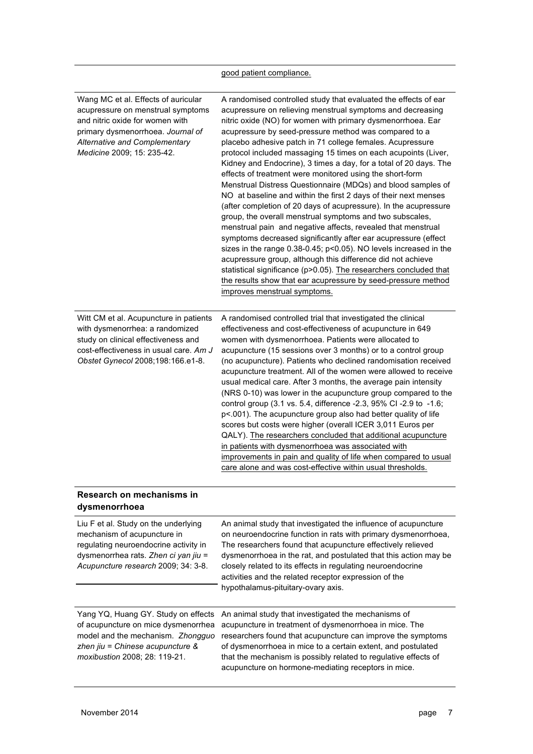### good patient compliance.

| Wang MC et al. Effects of auricular<br>acupressure on menstrual symptoms<br>and nitric oxide for women with<br>primary dysmenorrhoea. Journal of<br><b>Alternative and Complementary</b><br>Medicine 2009; 15: 235-42. | A randomised controlled study that evaluated the effects of ear<br>acupressure on relieving menstrual symptoms and decreasing<br>nitric oxide (NO) for women with primary dysmenorrhoea. Ear<br>acupressure by seed-pressure method was compared to a<br>placebo adhesive patch in 71 college females. Acupressure<br>protocol included massaging 15 times on each acupoints (Liver,<br>Kidney and Endocrine), 3 times a day, for a total of 20 days. The<br>effects of treatment were monitored using the short-form<br>Menstrual Distress Questionnaire (MDQs) and blood samples of<br>NO at baseline and within the first 2 days of their next menses<br>(after completion of 20 days of acupressure). In the acupressure<br>group, the overall menstrual symptoms and two subscales,<br>menstrual pain and negative affects, revealed that menstrual<br>symptoms decreased significantly after ear acupressure (effect<br>sizes in the range 0.38-0.45; p<0.05). NO levels increased in the<br>acupressure group, although this difference did not achieve<br>statistical significance (p>0.05). The researchers concluded that<br>the results show that ear acupressure by seed-pressure method<br>improves menstrual symptoms. |
|------------------------------------------------------------------------------------------------------------------------------------------------------------------------------------------------------------------------|--------------------------------------------------------------------------------------------------------------------------------------------------------------------------------------------------------------------------------------------------------------------------------------------------------------------------------------------------------------------------------------------------------------------------------------------------------------------------------------------------------------------------------------------------------------------------------------------------------------------------------------------------------------------------------------------------------------------------------------------------------------------------------------------------------------------------------------------------------------------------------------------------------------------------------------------------------------------------------------------------------------------------------------------------------------------------------------------------------------------------------------------------------------------------------------------------------------------------------------|
| Witt CM et al. Acupuncture in patients<br>with dysmenorrhea: a randomized<br>study on clinical effectiveness and<br>cost-effectiveness in usual care. Am J<br>Obstet Gynecol 2008;198:166.e1-8.                        | A randomised controlled trial that investigated the clinical<br>effectiveness and cost-effectiveness of acupuncture in 649<br>women with dysmenorrhoea. Patients were allocated to<br>acupuncture (15 sessions over 3 months) or to a control group<br>(no acupuncture). Patients who declined randomisation received<br>acupuncture treatment. All of the women were allowed to receive<br>usual medical care. After 3 months, the average pain intensity<br>(NRS 0-10) was lower in the acupuncture group compared to the<br>control group (3.1 vs. 5.4, difference -2.3, 95% CI -2.9 to -1.6;<br>p<.001). The acupuncture group also had better quality of life<br>scores but costs were higher (overall ICER 3,011 Euros per<br>QALY). The researchers concluded that additional acupuncture<br>in patients with dysmenorrhoea was associated with<br>improvements in pain and quality of life when compared to usual<br>care alone and was cost-effective within usual thresholds.                                                                                                                                                                                                                                              |
| Research on mechanisms in<br>dysmenorrhoea                                                                                                                                                                             |                                                                                                                                                                                                                                                                                                                                                                                                                                                                                                                                                                                                                                                                                                                                                                                                                                                                                                                                                                                                                                                                                                                                                                                                                                      |
| Liu F et al. Study on the underlying<br>mechanism of acupuncture in<br>regulating neuroendocrine activity in<br>dysmenorrhea rats. Zhen ci yan jiu =<br>Acupuncture research 2009; 34: 3-8.                            | An animal study that investigated the influence of acupuncture<br>on neuroendocrine function in rats with primary dysmenorrhoea,<br>The researchers found that acupuncture effectively relieved<br>dysmenorrhoea in the rat, and postulated that this action may be<br>closely related to its effects in regulating neuroendocrine<br>activities and the related receptor expression of the<br>hypothalamus-pituitary-ovary axis.                                                                                                                                                                                                                                                                                                                                                                                                                                                                                                                                                                                                                                                                                                                                                                                                    |
| Yang YQ, Huang GY. Study on effects<br>of acupuncture on mice dysmenorrhea<br>model and the mechanism. Zhongguo<br>zhen jiu = Chinese acupuncture &<br>moxibustion 2008; 28: 119-21.                                   | An animal study that investigated the mechanisms of<br>acupuncture in treatment of dysmenorrhoea in mice. The<br>researchers found that acupuncture can improve the symptoms<br>of dysmenorrhoea in mice to a certain extent, and postulated<br>that the mechanism is possibly related to regulative effects of<br>acupuncture on hormone-mediating receptors in mice.                                                                                                                                                                                                                                                                                                                                                                                                                                                                                                                                                                                                                                                                                                                                                                                                                                                               |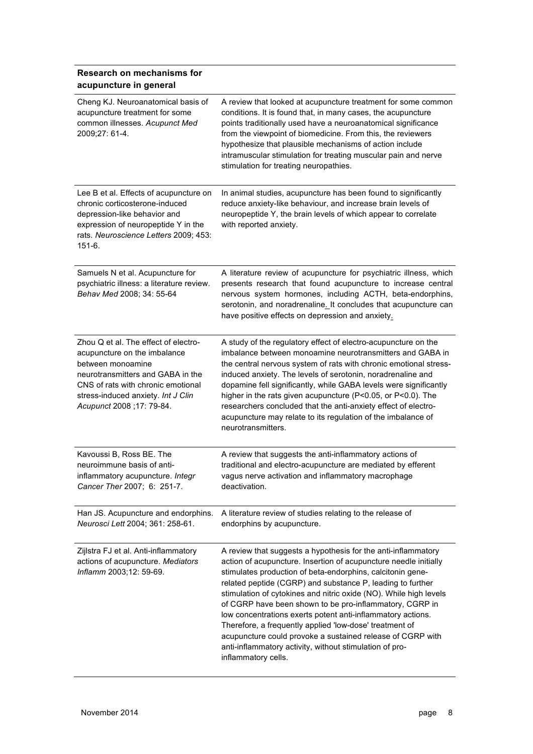### **Research on mechanisms for acupuncture in general**

| Cheng KJ. Neuroanatomical basis of<br>acupuncture treatment for some<br>common illnesses. Acupunct Med<br>2009;27: 61-4.                                                                                                                 | A review that looked at acupuncture treatment for some common<br>conditions. It is found that, in many cases, the acupuncture<br>points traditionally used have a neuroanatomical significance<br>from the viewpoint of biomedicine. From this, the reviewers<br>hypothesize that plausible mechanisms of action include<br>intramuscular stimulation for treating muscular pain and nerve<br>stimulation for treating neuropathies.                                                                                                                                                                                                                                    |
|------------------------------------------------------------------------------------------------------------------------------------------------------------------------------------------------------------------------------------------|-------------------------------------------------------------------------------------------------------------------------------------------------------------------------------------------------------------------------------------------------------------------------------------------------------------------------------------------------------------------------------------------------------------------------------------------------------------------------------------------------------------------------------------------------------------------------------------------------------------------------------------------------------------------------|
| Lee B et al. Effects of acupuncture on<br>chronic corticosterone-induced<br>depression-like behavior and<br>expression of neuropeptide Y in the<br>rats. Neuroscience Letters 2009; 453:<br>$151-6.$                                     | In animal studies, acupuncture has been found to significantly<br>reduce anxiety-like behaviour, and increase brain levels of<br>neuropeptide Y, the brain levels of which appear to correlate<br>with reported anxiety.                                                                                                                                                                                                                                                                                                                                                                                                                                                |
| Samuels N et al. Acupuncture for<br>psychiatric illness: a literature review.<br>Behav Med 2008; 34: 55-64                                                                                                                               | A literature review of acupuncture for psychiatric illness, which<br>presents research that found acupuncture to increase central<br>nervous system hormones, including ACTH, beta-endorphins,<br>serotonin, and noradrenaline. It concludes that acupuncture can<br>have positive effects on depression and anxiety.                                                                                                                                                                                                                                                                                                                                                   |
| Zhou Q et al. The effect of electro-<br>acupuncture on the imbalance<br>between monoamine<br>neurotransmitters and GABA in the<br>CNS of rats with chronic emotional<br>stress-induced anxiety. Int J Clin<br>Acupunct 2008 ; 17: 79-84. | A study of the regulatory effect of electro-acupuncture on the<br>imbalance between monoamine neurotransmitters and GABA in<br>the central nervous system of rats with chronic emotional stress-<br>induced anxiety. The levels of serotonin, noradrenaline and<br>dopamine fell significantly, while GABA levels were significantly<br>higher in the rats given acupuncture (P<0.05, or P<0.0). The<br>researchers concluded that the anti-anxiety effect of electro-<br>acupuncture may relate to its regulation of the imbalance of<br>neurotransmitters.                                                                                                            |
| Kavoussi B, Ross BE. The<br>neuroimmune basis of anti-<br>inflammatory acupuncture. Integr<br>Cancer Ther 2007; 6: 251-7.                                                                                                                | A review that suggests the anti-inflammatory actions of<br>traditional and electro-acupuncture are mediated by efferent<br>vagus nerve activation and inflammatory macrophage<br>deactivation.                                                                                                                                                                                                                                                                                                                                                                                                                                                                          |
| Han JS. Acupuncture and endorphins.<br>Neurosci Lett 2004; 361: 258-61.                                                                                                                                                                  | A literature review of studies relating to the release of<br>endorphins by acupuncture.                                                                                                                                                                                                                                                                                                                                                                                                                                                                                                                                                                                 |
| Zijlstra FJ et al. Anti-inflammatory<br>actions of acupuncture. Mediators<br>Inflamm 2003;12: 59-69.                                                                                                                                     | A review that suggests a hypothesis for the anti-inflammatory<br>action of acupuncture. Insertion of acupuncture needle initially<br>stimulates production of beta-endorphins, calcitonin gene-<br>related peptide (CGRP) and substance P, leading to further<br>stimulation of cytokines and nitric oxide (NO). While high levels<br>of CGRP have been shown to be pro-inflammatory, CGRP in<br>low concentrations exerts potent anti-inflammatory actions.<br>Therefore, a frequently applied 'low-dose' treatment of<br>acupuncture could provoke a sustained release of CGRP with<br>anti-inflammatory activity, without stimulation of pro-<br>inflammatory cells. |